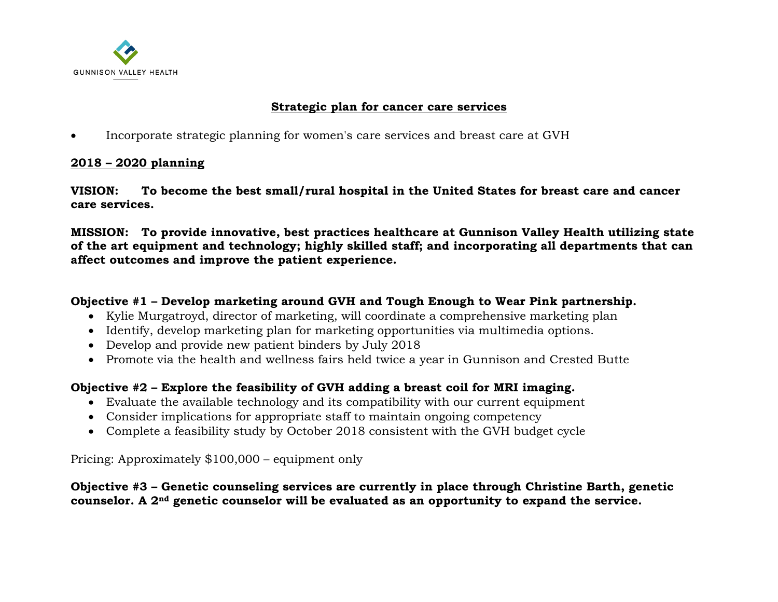

#### **Strategic plan for cancer care services**

• Incorporate strategic planning for women's care services and breast care at GVH

#### **2018 – 2020 planning**

**VISION: To become the best small/rural hospital in the United States for breast care and cancer care services.**

**MISSION: To provide innovative, best practices healthcare at Gunnison Valley Health utilizing state of the art equipment and technology; highly skilled staff; and incorporating all departments that can affect outcomes and improve the patient experience.**

#### **Objective #1 – Develop marketing around GVH and Tough Enough to Wear Pink partnership.**

- Kylie Murgatroyd, director of marketing, will coordinate a comprehensive marketing plan
- Identify, develop marketing plan for marketing opportunities via multimedia options.
- Develop and provide new patient binders by July 2018
- Promote via the health and wellness fairs held twice a year in Gunnison and Crested Butte

## **Objective #2 – Explore the feasibility of GVH adding a breast coil for MRI imaging.**

- Evaluate the available technology and its compatibility with our current equipment
- Consider implications for appropriate staff to maintain ongoing competency
- Complete a feasibility study by October 2018 consistent with the GVH budget cycle

Pricing: Approximately \$100,000 – equipment only

#### **Objective #3 – Genetic counseling services are currently in place through Christine Barth, genetic counselor. A 2nd genetic counselor will be evaluated as an opportunity to expand the service.**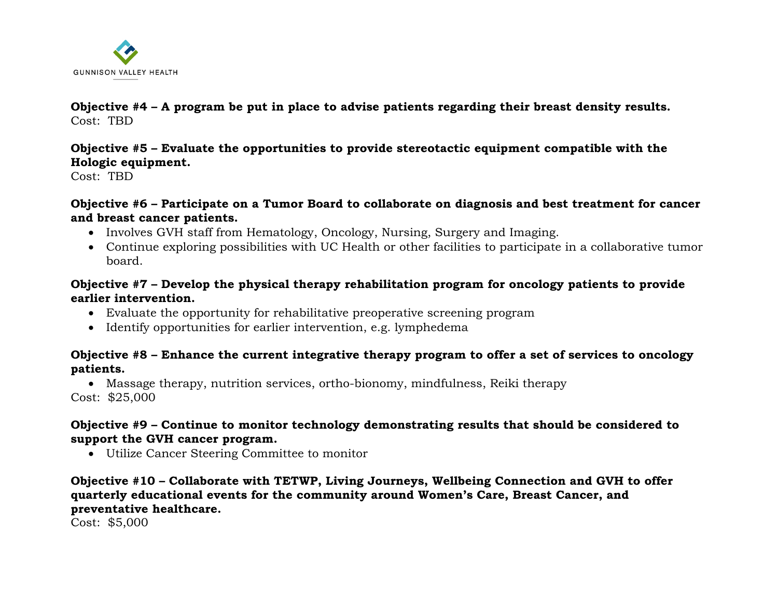

#### **Objective #4 – A program be put in place to advise patients regarding their breast density results.** Cost: TBD

# **Objective #5 – Evaluate the opportunities to provide stereotactic equipment compatible with the Hologic equipment.**

Cost: TBD

## **Objective #6 – Participate on a Tumor Board to collaborate on diagnosis and best treatment for cancer and breast cancer patients.**

- Involves GVH staff from Hematology, Oncology, Nursing, Surgery and Imaging.
- Continue exploring possibilities with UC Health or other facilities to participate in a collaborative tumor board.

# **Objective #7 – Develop the physical therapy rehabilitation program for oncology patients to provide earlier intervention.**

- Evaluate the opportunity for rehabilitative preoperative screening program
- Identify opportunities for earlier intervention, e.g. lymphedema

# **Objective #8 – Enhance the current integrative therapy program to offer a set of services to oncology patients.**

• Massage therapy, nutrition services, ortho-bionomy, mindfulness, Reiki therapy Cost: \$25,000

# **Objective #9 – Continue to monitor technology demonstrating results that should be considered to support the GVH cancer program.**

• Utilize Cancer Steering Committee to monitor

## **Objective #10 – Collaborate with TETWP, Living Journeys, Wellbeing Connection and GVH to offer quarterly educational events for the community around Women's Care, Breast Cancer, and preventative healthcare.**

Cost: \$5,000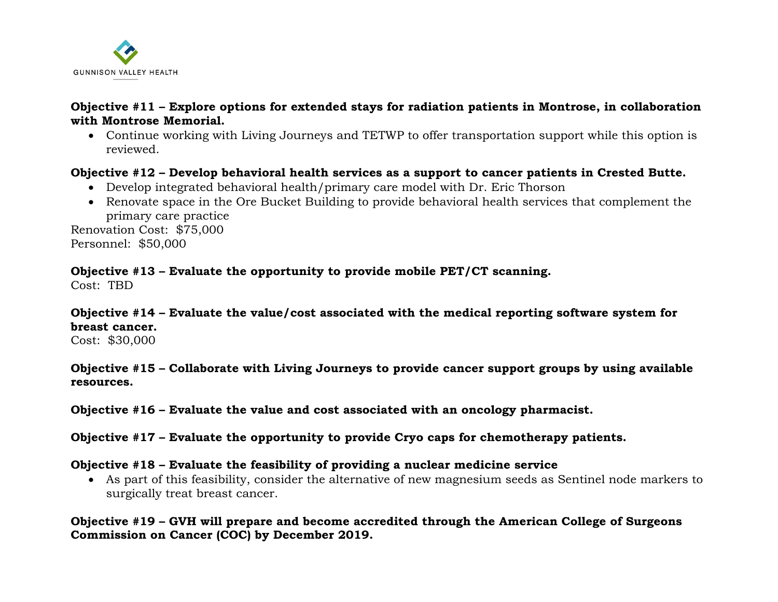

#### **Objective #11 – Explore options for extended stays for radiation patients in Montrose, in collaboration with Montrose Memorial.**

• Continue working with Living Journeys and TETWP to offer transportation support while this option is reviewed.

#### **Objective #12 – Develop behavioral health services as a support to cancer patients in Crested Butte.**

- Develop integrated behavioral health/primary care model with Dr. Eric Thorson
- Renovate space in the Ore Bucket Building to provide behavioral health services that complement the primary care practice

Renovation Cost: \$75,000 Personnel: \$50,000

#### **Objective #13 – Evaluate the opportunity to provide mobile PET/CT scanning.**

Cost: TBD

# **Objective #14 – Evaluate the value/cost associated with the medical reporting software system for breast cancer.**

Cost: \$30,000

**Objective #15 – Collaborate with Living Journeys to provide cancer support groups by using available resources.**

**Objective #16 – Evaluate the value and cost associated with an oncology pharmacist.**

**Objective #17 – Evaluate the opportunity to provide Cryo caps for chemotherapy patients.**

#### **Objective #18 – Evaluate the feasibility of providing a nuclear medicine service**

• As part of this feasibility, consider the alternative of new magnesium seeds as Sentinel node markers to surgically treat breast cancer.

#### **Objective #19 – GVH will prepare and become accredited through the American College of Surgeons Commission on Cancer (COC) by December 2019.**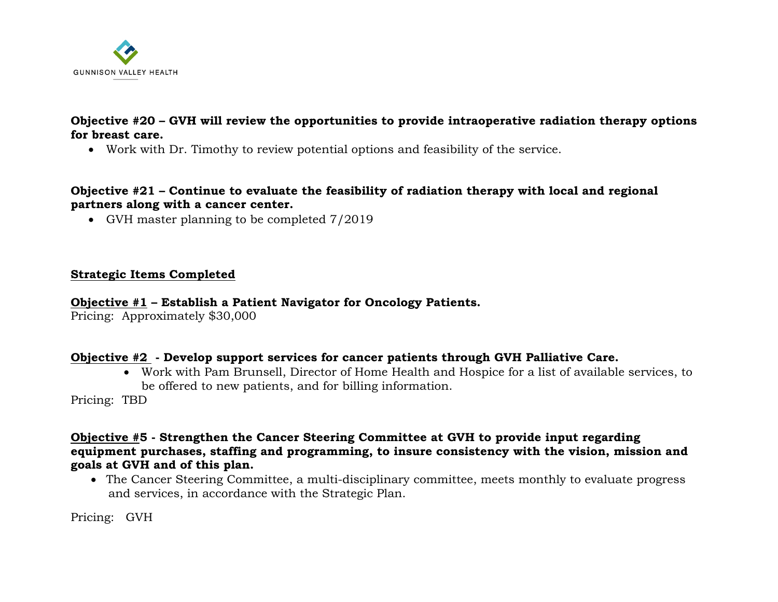

## **Objective #20 – GVH will review the opportunities to provide intraoperative radiation therapy options for breast care.**

• Work with Dr. Timothy to review potential options and feasibility of the service.

#### **Objective #21 – Continue to evaluate the feasibility of radiation therapy with local and regional partners along with a cancer center.**

• GVH master planning to be completed  $7/2019$ 

#### **Strategic Items Completed**

#### **Objective #1 – Establish a Patient Navigator for Oncology Patients.**

Pricing: Approximately \$30,000

## **Objective #2 - Develop support services for cancer patients through GVH Palliative Care.**

• Work with Pam Brunsell, Director of Home Health and Hospice for a list of available services, to be offered to new patients, and for billing information.

Pricing: TBD

#### **Objective #5 - Strengthen the Cancer Steering Committee at GVH to provide input regarding equipment purchases, staffing and programming, to insure consistency with the vision, mission and goals at GVH and of this plan.**

• The Cancer Steering Committee, a multi-disciplinary committee, meets monthly to evaluate progress and services, in accordance with the Strategic Plan.

Pricing: GVH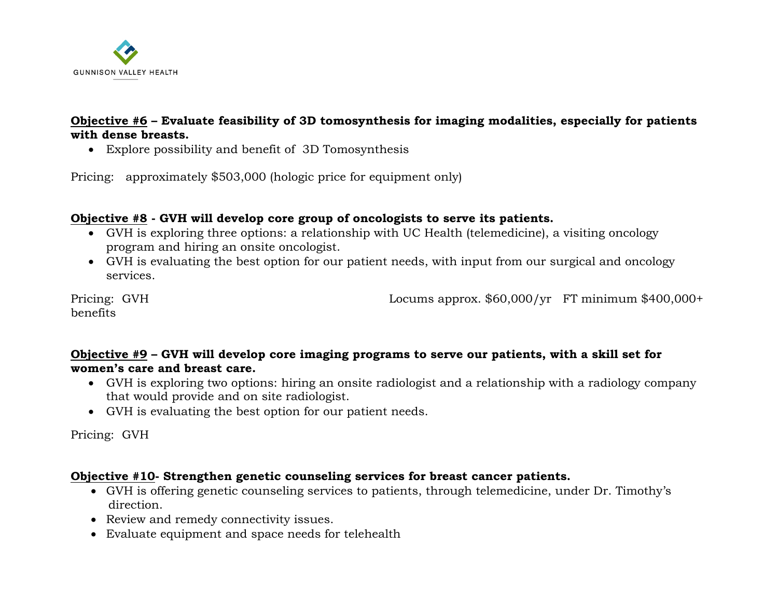

## **Objective #6 – Evaluate feasibility of 3D tomosynthesis for imaging modalities, especially for patients with dense breasts.**

• Explore possibility and benefit of 3D Tomosynthesis

Pricing: approximately \$503,000 (hologic price for equipment only)

## **Objective #8 - GVH will develop core group of oncologists to serve its patients.**

- GVH is exploring three options: a relationship with UC Health (telemedicine), a visiting oncology program and hiring an onsite oncologist.
- GVH is evaluating the best option for our patient needs, with input from our surgical and oncology services.

benefits

Pricing: GVH Locums approx. \$60,000/yr FT minimum \$400,000+

# **Objective #9 – GVH will develop core imaging programs to serve our patients, with a skill set for women's care and breast care.**

- GVH is exploring two options: hiring an onsite radiologist and a relationship with a radiology company that would provide and on site radiologist.
- GVH is evaluating the best option for our patient needs.

Pricing: GVH

## **Objective #10- Strengthen genetic counseling services for breast cancer patients.**

- GVH is offering genetic counseling services to patients, through telemedicine, under Dr. Timothy's direction.
- Review and remedy connectivity issues.
- Evaluate equipment and space needs for telehealth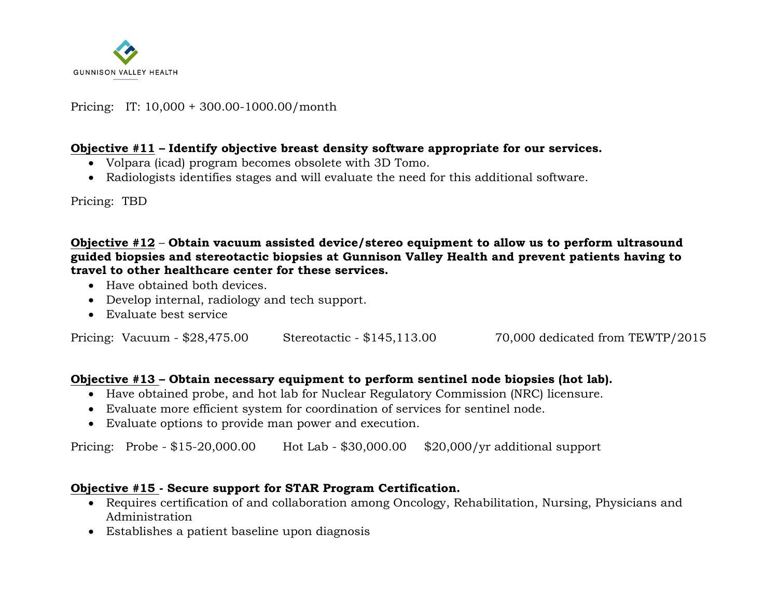

#### Pricing: IT: 10,000 + 300.00-1000.00/month

#### **Objective #11 – Identify objective breast density software appropriate for our services.**

- Volpara (icad) program becomes obsolete with 3D Tomo.
- Radiologists identifies stages and will evaluate the need for this additional software.

Pricing: TBD

**Objective #12** – **Obtain vacuum assisted device/stereo equipment to allow us to perform ultrasound guided biopsies and stereotactic biopsies at Gunnison Valley Health and prevent patients having to travel to other healthcare center for these services.**

- Have obtained both devices.
- Develop internal, radiology and tech support.
- Evaluate best service

Pricing: Vacuum - \$28,475.00 Stereotactic - \$145,113.00 70,000 dedicated from TEWTP/2015

## **Objective #13 – Obtain necessary equipment to perform sentinel node biopsies (hot lab).**

- Have obtained probe, and hot lab for Nuclear Regulatory Commission (NRC) licensure.
- Evaluate more efficient system for coordination of services for sentinel node.
- Evaluate options to provide man power and execution.

Pricing: Probe - \$15-20,000.00 Hot Lab - \$30,000.00 \$20,000/yr additional support

## **Objective #15 - Secure support for STAR Program Certification.**

- Requires certification of and collaboration among Oncology, Rehabilitation, Nursing, Physicians and Administration
- Establishes a patient baseline upon diagnosis